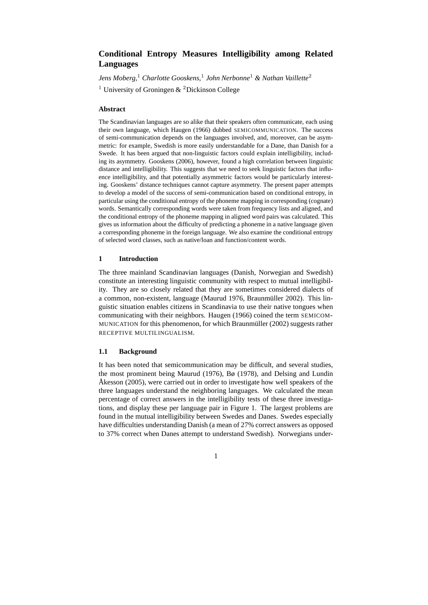# **Conditional Entropy Measures Intelligibility among Related Languages**

*Jens Moberg,* <sup>1</sup> *Charlotte Gooskens,*<sup>1</sup> *John Nerbonne*<sup>1</sup> *& Nathan Vaillette*<sup>2</sup>

<sup>1</sup> University of Groningen  $\&$  <sup>2</sup> Dickinson College

## **Abstract**

The Scandinavian languages are so alike that their speakers often communicate, each using their own language, which Haugen (1966) dubbed SEMICOMMUNICATION. The success of semi-communication depends on the languages involved, and, moreover, can be asymmetric: for example, Swedish is more easily understandable for a Dane, than Danish for a Swede. It has been argued that non-linguistic factors could explain intelligibility, including its asymmetry. Gooskens (2006), however, found a high correlation between linguistic distance and intelligibility. This suggests that we need to seek linguistic factors that influence intelligibility, and that potentially asymmetric factors would be particularly interesting. Gooskens' distance techniques cannot capture asymmetry. The present paper attempts to develop a model of the success of semi-communication based on conditional entropy, in particular using the conditional entropy of the phoneme mapping in corresponding (cognate) words. Semantically corresponding words were taken from frequency lists and aligned, and the conditional entropy of the phoneme mapping in aligned word pairs was calculated. This gives us information about the difficulty of predicting a phoneme in a native language given a corresponding phoneme in the foreign language. We also examine the conditional entropy of selected word classes, such as native/loan and function/content words.

# **1 Introduction**

The three mainland Scandinavian languages (Danish, Norwegian and Swedish) constitute an interesting linguistic community with respect to mutual intelligibility. They are so closely related that they are sometimes considered dialects of a common, non-existent, language (Maurud 1976, Braunmüller 2002). This linguistic situation enables citizens in Scandinavia to use their native tongues when communicating with their neighbors. Haugen (1966) coined the term SEMICOM-MUNICATION for this phenomenon, for which Braunmüller (2002) suggests rather RECEPTIVE MULTILINGUALISM.

# **1.1 Background**

It has been noted that semicommunication may be difficult, and several studies, the most prominent being Maurud (1976), Bø (1978), and Delsing and Lundin Åkesson (2005), were carried out in order to investigate how well speakers of the three languages understand the neighboring languages. We calculated the mean percentage of correct answers in the intelligibility tests of these three investigations, and display these per language pair in Figure 1. The largest problems are found in the mutual intelligibility between Swedes and Danes. Swedes especially have difficulties understanding Danish (a mean of 27% correct answers as opposed to 37% correct when Danes attempt to understand Swedish). Norwegians under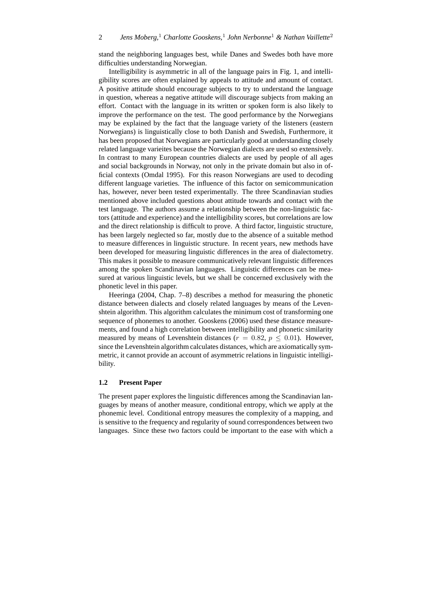stand the neighboring languages best, while Danes and Swedes both have more difficulties understanding Norwegian.

Intelligibility is asymmetric in all of the language pairs in Fig. 1, and intelligibility scores are often explained by appeals to attitude and amount of contact. A positive attitude should encourage subjects to try to understand the language in question, whereas a negative attitude will discourage subjects from making an effort. Contact with the language in its written or spoken form is also likely to improve the performance on the test. The good performance by the Norwegians may be explained by the fact that the language variety of the listeners (eastern Norwegians) is linguistically close to both Danish and Swedish, Furthermore, it has been proposed that Norwegians are particularly good at understanding closely related language varieites because the Norwegian dialects are used so extensively. In contrast to many European countries dialects are used by people of all ages and social backgrounds in Norway, not only in the private domain but also in official contexts (Omdal 1995). For this reason Norwegians are used to decoding different language varieties. The influence of this factor on semicommunication has, however, never been tested experimentally. The three Scandinavian studies mentioned above included questions about attitude towards and contact with the test language. The authors assume a relationship between the non-linguistic factors (attitude and experience) and the intelligibility scores, but correlations are low and the direct relationship is difficult to prove. A third factor, linguistic structure, has been largely neglected so far, mostly due to the absence of a suitable method to measure differences in linguistic structure. In recent years, new methods have been developed for measuring linguistic differences in the area of dialectometry. This makes it possible to measure communicatively relevant linguistic differences among the spoken Scandinavian languages. Linguistic differences can be measured at various linguistic levels, but we shall be concerned exclusively with the phonetic level in this paper.

Heeringa (2004, Chap. 7–8) describes a method for measuring the phonetic distance between dialects and closely related languages by means of the Levenshtein algorithm. This algorithm calculates the minimum cost of transforming one sequence of phonemes to another. Gooskens (2006) used these distance measurements, and found a high correlation between intelligibility and phonetic similarity measured by means of Levenshtein distances ( $r = 0.82$ ,  $p \le 0.01$ ). However, since the Levenshtein algorithm calculates distances, which are axiomatically symmetric, it cannot provide an account of asymmetric relations in linguistic intelligibility.

### **1.2 Present Paper**

The present paper explores the linguistic differences among the Scandinavian languages by means of another measure, conditional entropy, which we apply at the phonemic level. Conditional entropy measures the complexity of a mapping, and is sensitive to the frequency and regularity of sound correspondences between two languages. Since these two factors could be important to the ease with which a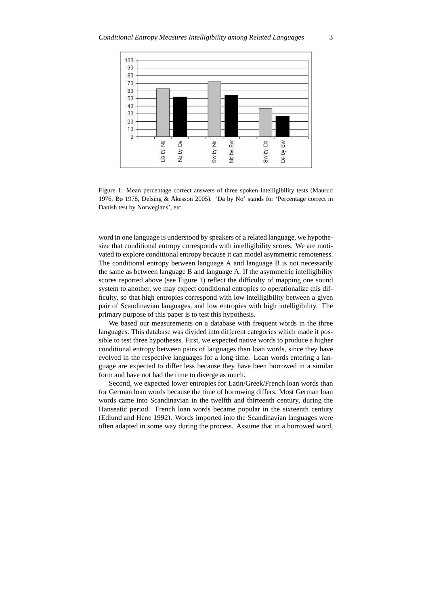

Figure 1: Mean percentage correct answers of three spoken intelligibility tests (Maurud 1976, Bø 1978, Delsing & Åkesson 2005). 'Da by No' stands for 'Percentage correct in Danish test by Norwegians', etc.

word in one language is understood by speakers of a related language, we hypothesize that conditional entropy corresponds with intelligibility scores. We are motivated to explore conditional entropy because it can model asymmetric remoteness. The conditional entropy between language A and language B is not necessarily the same as between language B and language A. If the asymmetric intelligibility scores reported above (see Figure 1) reflect the difficulty of mapping one sound system to another, we may expect conditional entropies to operationalize this difficulty, so that high entropies correspond with low intelligibility between a given pair of Scandinavian languages, and low entropies with high intelligibility. The primary purpose of this paper is to test this hypothesis.

We based our measurements on a database with frequent words in the three languages. This database was divided into different categories which made it possible to test three hypotheses. First, we expected native words to produce a higher conditional entropy between pairs of languages than loan words, since they have evolved in the respective languages for a long time. Loan words entering a language are expected to differ less because they have been borrowed in a similar form and have not had the time to diverge as much.

Second, we expected lower entropies for Latin/Greek/French loan words than for German loan words because the time of borrowing differs. Most German loan words came into Scandinavian in the twelfth and thirteenth century, during the Hanseatic period. French loan words became popular in the sixteenth century (Edlund and Hene 1992). Words imported into the Scandinavian languages were often adapted in some way during the process. Assume that in a borrowed word,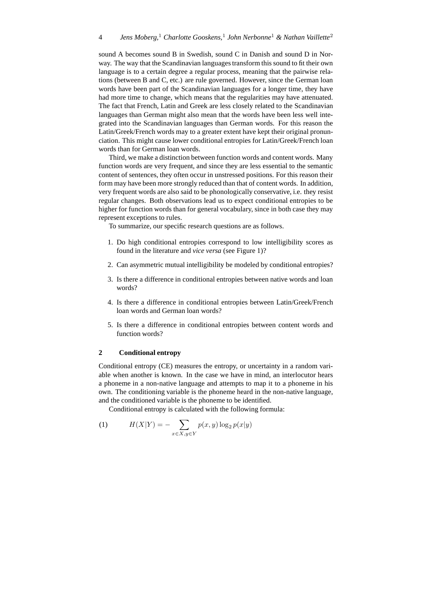sound A becomes sound B in Swedish, sound C in Danish and sound D in Norway. The way that the Scandinavian languages transform this sound to fit their own language is to a certain degree a regular process, meaning that the pairwise relations (between B and C, etc.) are rule governed. However, since the German loan words have been part of the Scandinavian languages for a longer time, they have had more time to change, which means that the regularities may have attenuated. The fact that French, Latin and Greek are less closely related to the Scandinavian languages than German might also mean that the words have been less well integrated into the Scandinavian languages than German words. For this reason the Latin/Greek/French words may to a greater extent have kept their original pronunciation. This might cause lower conditional entropies for Latin/Greek/French loan words than for German loan words.

Third, we make a distinction between function words and content words. Many function words are very frequent, and since they are less essential to the semantic content of sentences, they often occur in unstressed positions. For this reason their form may have been more strongly reduced than that of content words. In addition, very frequent words are also said to be phonologically conservative, i.e. they resist regular changes. Both observations lead us to expect conditional entropies to be higher for function words than for general vocabulary, since in both case they may represent exceptions to rules.

To summarize, our specific research questions are as follows.

- 1. Do high conditional entropies correspond to low intelligibility scores as found in the literature and *vice versa* (see Figure 1)?
- 2. Can asymmetric mutual intelligibility be modeled by conditional entropies?
- 3. Is there a difference in conditional entropies between native words and loan words?
- 4. Is there a difference in conditional entropies between Latin/Greek/French loan words and German loan words?
- 5. Is there a difference in conditional entropies between content words and function words?

#### **2 Conditional entropy**

Conditional entropy (CE) measures the entropy, or uncertainty in a random variable when another is known. In the case we have in mind, an interlocutor hears a phoneme in a non-native language and attempts to map it to a phoneme in his own. The conditioning variable is the phoneme heard in the non-native language, and the conditioned variable is the phoneme to be identified.

Conditional entropy is calculated with the following formula:

(1) 
$$
H(X|Y) = -\sum_{x \in X, y \in Y} p(x, y) \log_2 p(x|y)
$$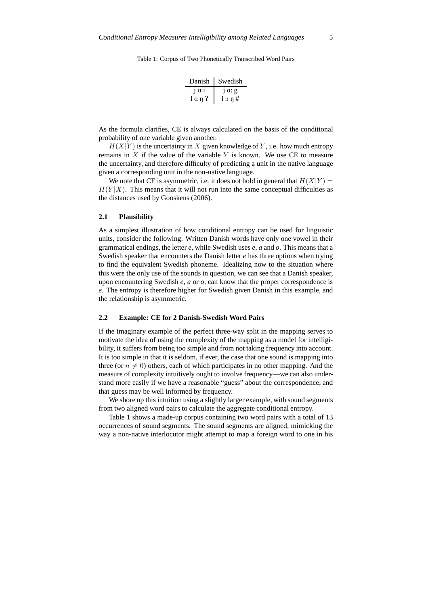Table 1: Corpus of Two Phonetically Transcribed Word Pairs

| Danish  | Swedish |
|---------|---------|
| 1a1     | 1 ar g  |
| l a ŋ ʔ | 1 ο η # |

As the formula clarifies, CE is always calculated on the basis of the conditional probability of one variable given another.

 $H(X|Y)$  is the uncertainty in X given knowledge of Y, i.e. how much entropy remains in  $X$  if the value of the variable Y is known. We use CE to measure the uncertainty, and therefore difficulty of predicting a unit in the native language given a corresponding unit in the non-native language.

We note that CE is asymmetric, i.e. it does not hold in general that  $H(X|Y) =$  $H(Y|X)$ . This means that it will not run into the same conceptual difficulties as the distances used by Gooskens (2006).

#### **2.1 Plausibility**

As a simplest illustration of how conditional entropy can be used for linguistic units, consider the following. Written Danish words have only one vowel in their grammatical endings, the letter *e*, while Swedish uses *e*, *a* and *o*. This means that a Swedish speaker that encounters the Danish letter *e* has three options when trying to find the equivalent Swedish phoneme. Idealizing now to the situation where this were the only use of the sounds in question, we can see that a Danish speaker, upon encountering Swedish *e*, *a* or *o*, can know that the proper correspondence is *e*. The entropy is therefore higher for Swedish given Danish in this example, and the relationship is asymmetric.

#### **2.2 Example: CE for 2 Danish-Swedish Word Pairs**

If the imaginary example of the perfect three-way split in the mapping serves to motivate the idea of using the complexity of the mapping as a model for intelligibility, it suffers from being too simple and from not taking frequency into account. It is too simple in that it is seldom, if ever, the case that one sound is mapping into three (or  $n \neq 0$ ) others, each of which participates in no other mapping. And the measure of complexity intuitively ought to involve frequency—we can also understand more easily if we have a reasonable "guess" about the correspondence, and that guess may be well informed by frequency.

We shore up this intuition using a slightly larger example, with sound segments from two aligned word pairs to calculate the aggregate conditional entropy.

Table 1 shows a made-up corpus containing two word pairs with a total of 13 occurrences of sound segments. The sound segments are aligned, mimicking the way a non-native interlocutor might attempt to map a foreign word to one in his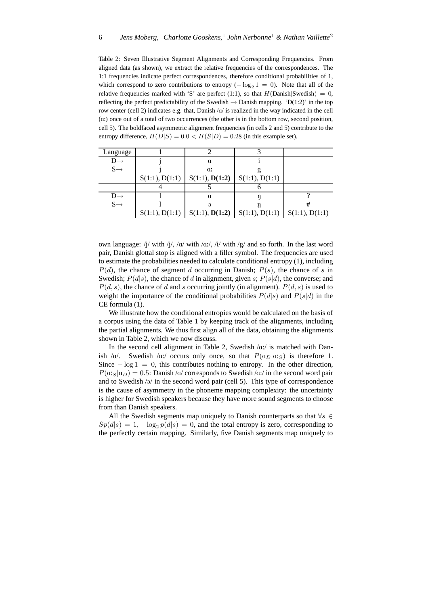Table 2: Seven Illustrative Segment Alignments and Corresponding Frequencies. From aligned data (as shown), we extract the relative frequencies of the correspondences. The 1:1 frequencies indicate perfect correspondences, therefore conditional probabilities of 1, which correspond to zero contributions to entropy  $(-\log_2 1 = 0)$ . Note that all of the relative frequencies marked with 'S' are perfect (1:1), so that  $H(Danish|Swedish) = 0$ , reflecting the perfect predictability of the Swedish  $\rightarrow$  Danish mapping. 'D(1:2)' in the top row center (cell 2) indicates e.g. that, Danish  $\alpha$  is realized in the way indicated in the cell  $\alpha$ :) once out of a total of two occurrences (the other is in the bottom row, second position, cell 5). The boldfaced asymmetric alignment frequencies (in cells 2 and 5) contribute to the entropy difference,  $H(D|S) = 0.0 < H(S|D) = 0.28$  (in this example set).

| Language        |                |                                                                     |                |  |
|-----------------|----------------|---------------------------------------------------------------------|----------------|--|
|                 |                | $\mathfrak{a}$                                                      |                |  |
| $S \rightarrow$ |                | $\alpha$                                                            |                |  |
|                 | S(1:1), D(1:1) | S(1:1), D(1:2)                                                      | S(1:1), D(1:1) |  |
|                 |                |                                                                     |                |  |
|                 |                |                                                                     |                |  |
| $D \rightarrow$ |                | $\mathfrak{a}$                                                      |                |  |
| $S \rightarrow$ |                |                                                                     |                |  |
|                 |                | $S(1:1), D(1:1)   S(1:1), D(1:2)   S(1:1), D(1:1)   S(1:1), D(1:1)$ |                |  |

own language: /j/ with /j/, /a/ with /a:/, /i/ with /g/ and so forth. In the last word pair, Danish glottal stop is aligned with a filler symbol. The frequencies are used to estimate the probabilities needed to calculate conditional entropy (1), including  $P(d)$ , the chance of segment d occurring in Danish;  $P(s)$ , the chance of s in Swedish;  $P(d|s)$ , the chance of d in alignment, given s;  $P(s|d)$ , the converse; and  $P(d, s)$ , the chance of d and s occurring jointly (in alignment).  $P(d, s)$  is used to weight the importance of the conditional probabilities  $P(d|s)$  and  $P(s|d)$  in the CE formula (1).

We illustrate how the conditional entropies would be calculated on the basis of a corpus using the data of Table 1 by keeping track of the alignments, including the partial alignments. We thus first align all of the data, obtaining the alignments shown in Table 2, which we now discuss.

In the second cell alignment in Table 2, Swedish  $/\alpha$ :/ is matched with Danish /a/. Swedish /a:/ occurs only once, so that  $P(a_D|a|s)$  is therefore 1. Since  $-\log 1 = 0$ , this contributes nothing to entropy. In the other direction,  $P(\alpha;_{S}|\alpha_{D}) = 0.5$ : Danish / $\alpha$ / corresponds to Swedish / $\alpha$ :/ in the second word pair and to Swedish /O/ in the second word pair (cell 5). This type of correspondence is the cause of asymmetry in the phoneme mapping complexity: the uncertainty is higher for Swedish speakers because they have more sound segments to choose from than Danish speakers.

All the Swedish segments map uniquely to Danish counterparts so that  $\forall s \in$  $Sp(d|s) = 1, -\log_2 p(d|s) = 0$ , and the total entropy is zero, corresponding to the perfectly certain mapping. Similarly, five Danish segments map uniquely to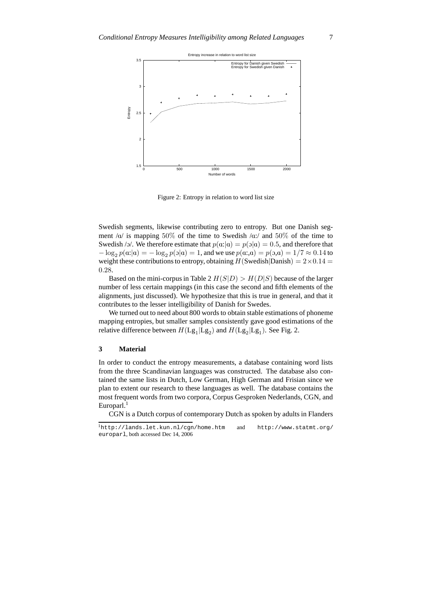

Figure 2: Entropy in relation to word list size

Swedish segments, likewise contributing zero to entropy. But one Danish segment  $\alpha$  is mapping 50% of the time to Swedish  $\alpha$ : and 50% of the time to Swedish /ɔ/. We therefore estimate that  $p(\mathbf{a}:|\mathbf{a}) = p(\mathbf{a}| \mathbf{a}) = 0.5$ , and therefore that  $-\log_2 p(a:|\alpha|) = -\log_2 p(\alpha|\alpha) = 1$ , and we use  $p(a:,\alpha) = p(\alpha,\alpha) = 1/7 \approx 0.14$  to weight these contributions to entropy, obtaining  $H(S$ wedish $|Danish) = 2 \times 0.14$ 0.28.

Based on the mini-corpus in Table 2  $H(S|D) > H(D|S)$  because of the larger number of less certain mappings (in this case the second and fifth elements of the alignments, just discussed). We hypothesize that this is true in general, and that it contributes to the lesser intelligibility of Danish for Swedes.

We turned out to need about 800 words to obtain stable estimations of phoneme mapping entropies, but smaller samples consistently gave good estimations of the relative difference between  $H(\text{Lg}_1 | \text{Lg}_2)$  and  $H(\text{Lg}_2 | \text{Lg}_1)$ . See Fig. 2.

# **3 Material**

In order to conduct the entropy measurements, a database containing word lists from the three Scandinavian languages was constructed. The database also contained the same lists in Dutch, Low German, High German and Frisian since we plan to extent our research to these languages as well. The database contains the most frequent words from two corpora, Corpus Gesproken Nederlands, CGN, and Europarl.<sup>1</sup>

CGN is a Dutch corpus of contemporary Dutch as spoken by adults in Flanders

<sup>1</sup>http://lands.let.kun.nl/cgn/home.htm and http://www.statmt.org/ europarl, both accessed Dec 14, 2006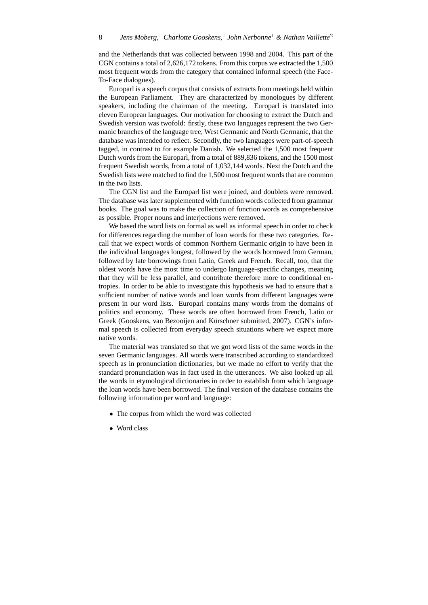and the Netherlands that was collected between 1998 and 2004. This part of the CGN contains a total of 2,626,172 tokens. From this corpus we extracted the 1,500 most frequent words from the category that contained informal speech (the Face-To-Face dialogues).

Europarl is a speech corpus that consists of extracts from meetings held within the European Parliament. They are characterized by monologues by different speakers, including the chairman of the meeting. Europarl is translated into eleven European languages. Our motivation for choosing to extract the Dutch and Swedish version was twofold: firstly, these two languages represent the two Germanic branches of the language tree, West Germanic and North Germanic, that the database was intended to reflect. Secondly, the two languages were part-of-speech tagged, in contrast to for example Danish. We selected the 1,500 most frequent Dutch words from the Europarl, from a total of 889,836 tokens, and the 1500 most frequent Swedish words, from a total of 1,032,144 words. Next the Dutch and the Swedish lists were matched to find the 1,500 most frequent words that are common in the two lists.

The CGN list and the Europarl list were joined, and doublets were removed. The database was later supplemented with function words collected from grammar books. The goal was to make the collection of function words as comprehensive as possible. Proper nouns and interjections were removed.

We based the word lists on formal as well as informal speech in order to check for differences regarding the number of loan words for these two categories. Recall that we expect words of common Northern Germanic origin to have been in the individual languages longest, followed by the words borrowed from German, followed by late borrowings from Latin, Greek and French. Recall, too, that the oldest words have the most time to undergo language-specific changes, meaning that they will be less parallel, and contribute therefore more to conditional entropies. In order to be able to investigate this hypothesis we had to ensure that a sufficient number of native words and loan words from different languages were present in our word lists. Europarl contains many words from the domains of politics and economy. These words are often borrowed from French, Latin or Greek (Gooskens, van Bezooijen and Kürschner submitted, 2007). CGN's informal speech is collected from everyday speech situations where we expect more native words.

The material was translated so that we got word lists of the same words in the seven Germanic languages. All words were transcribed according to standardized speech as in pronunciation dictionaries, but we made no effort to verify that the standard pronunciation was in fact used in the utterances. We also looked up all the words in etymological dictionaries in order to establish from which language the loan words have been borrowed. The final version of the database contains the following information per word and language:

- The corpus from which the word was collected
- Word class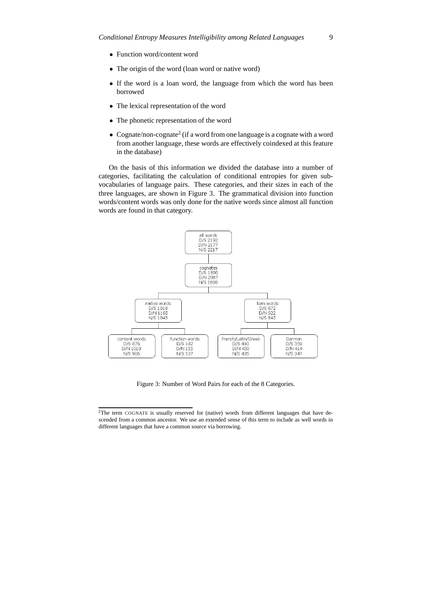- Function word/content word
- The origin of the word (loan word or native word)
- If the word is a loan word, the language from which the word has been borrowed
- The lexical representation of the word
- The phonetic representation of the word
- Cognate/non-cognate<sup>2</sup> (if a word from one language is a cognate with a word from another language, these words are effectively coindexed at this feature in the database)

On the basis of this information we divided the database into a number of categories, facilitating the calculation of conditional entropies for given subvocabularies of language pairs. These categories, and their sizes in each of the three languages, are shown in Figure 3. The grammatical division into function words/content words was only done for the native words since almost all function words are found in that category.



Figure 3: Number of Word Pairs for each of the 8 Categories.

<sup>&</sup>lt;sup>2</sup>The term COGNATE is usually reserved for (native) words from different languages that have descended from a common ancestor. We use an extended sense of this term to include as well words in different languages that have a common source via borrowing.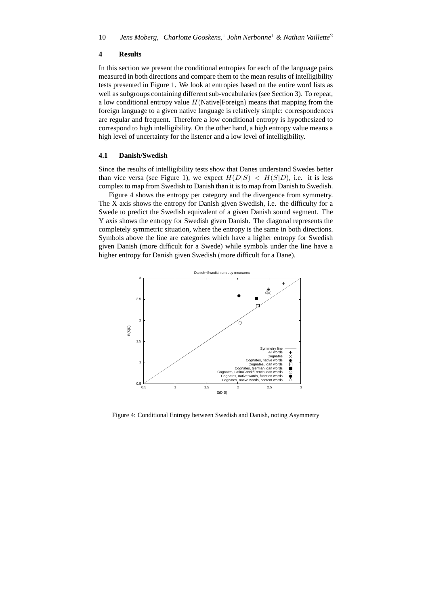# **4 Results**

In this section we present the conditional entropies for each of the language pairs measured in both directions and compare them to the mean results of intelligibility tests presented in Figure 1. We look at entropies based on the entire word lists as well as subgroups containing different sub-vocabularies(see Section 3). To repeat, a low conditional entropy value  $H(Native|Foreign)$  means that mapping from the foreign language to a given native language is relatively simple: correspondences are regular and frequent. Therefore a low conditional entropy is hypothesized to correspond to high intelligibility. On the other hand, a high entropy value means a high level of uncertainty for the listener and a low level of intelligibility.

# **4.1 Danish/Swedish**

Since the results of intelligibility tests show that Danes understand Swedes better than vice versa (see Figure 1), we expect  $H(D|S) < H(S|D)$ , i.e. it is less complex to map from Swedish to Danish than it is to map from Danish to Swedish.

Figure 4 shows the entropy per category and the divergence from symmetry. The X axis shows the entropy for Danish given Swedish, i.e. the difficulty for a Swede to predict the Swedish equivalent of a given Danish sound segment. The Y axis shows the entropy for Swedish given Danish. The diagonal represents the completely symmetric situation, where the entropy is the same in both directions. Symbols above the line are categories which have a higher entropy for Swedish given Danish (more difficult for a Swede) while symbols under the line have a higher entropy for Danish given Swedish (more difficult for a Dane).



Figure 4: Conditional Entropy between Swedish and Danish, noting Asymmetry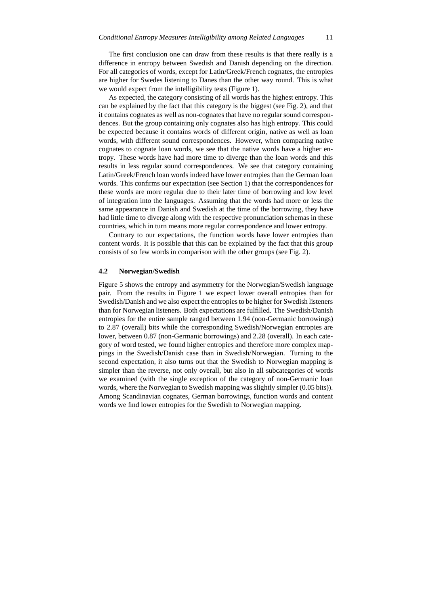The first conclusion one can draw from these results is that there really is a difference in entropy between Swedish and Danish depending on the direction. For all categories of words, except for Latin/Greek/French cognates, the entropies are higher for Swedes listening to Danes than the other way round. This is what we would expect from the intelligibility tests (Figure 1).

As expected, the category consisting of all words has the highest entropy. This can be explained by the fact that this category is the biggest (see Fig. 2), and that it contains cognates as well as non-cognates that have no regular sound correspondences. But the group containing only cognates also has high entropy. This could be expected because it contains words of different origin, native as well as loan words, with different sound correspondences. However, when comparing native cognates to cognate loan words, we see that the native words have a higher entropy. These words have had more time to diverge than the loan words and this results in less regular sound correspondences. We see that category containing Latin/Greek/French loan words indeed have lower entropies than the German loan words. This confirms our expectation (see Section 1) that the correspondences for these words are more regular due to their later time of borrowing and low level of integration into the languages. Assuming that the words had more or less the same appearance in Danish and Swedish at the time of the borrowing, they have had little time to diverge along with the respective pronunciation schemas in these countries, which in turn means more regular correspondence and lower entropy.

Contrary to our expectations, the function words have lower entropies than content words. It is possible that this can be explained by the fact that this group consists of so few words in comparison with the other groups (see Fig. 2).

#### **4.2 Norwegian/Swedish**

Figure 5 shows the entropy and asymmetry for the Norwegian/Swedish language pair. From the results in Figure 1 we expect lower overall entropies than for Swedish/Danish and we also expect the entropiesto be higher for Swedish listeners than for Norwegian listeners. Both expectations are fulfilled. The Swedish/Danish entropies for the entire sample ranged between 1.94 (non-Germanic borrowings) to 2.87 (overall) bits while the corresponding Swedish/Norwegian entropies are lower, between 0.87 (non-Germanic borrowings) and 2.28 (overall). In each category of word tested, we found higher entropies and therefore more complex mappings in the Swedish/Danish case than in Swedish/Norwegian. Turning to the second expectation, it also turns out that the Swedish to Norwegian mapping is simpler than the reverse, not only overall, but also in all subcategories of words we examined (with the single exception of the category of non-Germanic loan words, where the Norwegian to Swedish mapping was slightly simpler (0.05 bits)). Among Scandinavian cognates, German borrowings, function words and content words we find lower entropies for the Swedish to Norwegian mapping.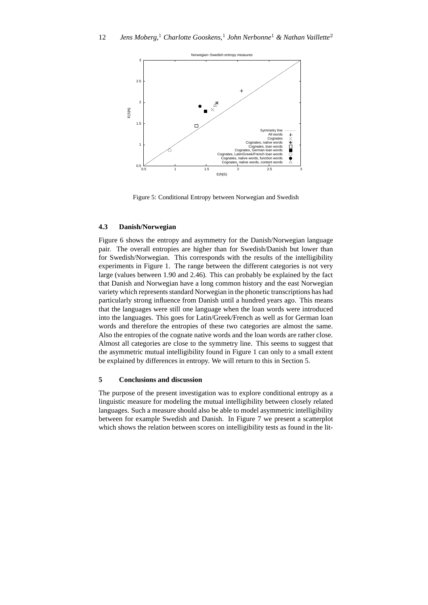

Figure 5: Conditional Entropy between Norwegian and Swedish

#### **4.3 Danish/Norwegian**

Figure 6 shows the entropy and asymmetry for the Danish/Norwegian language pair. The overall entropies are higher than for Swedish/Danish but lower than for Swedish/Norwegian. This corresponds with the results of the intelligibility experiments in Figure 1. The range between the different categories is not very large (values between 1.90 and 2.46). This can probably be explained by the fact that Danish and Norwegian have a long common history and the east Norwegian variety which represents standard Norwegian in the phonetic transcriptions has had particularly strong influence from Danish until a hundred years ago. This means that the languages were still one language when the loan words were introduced into the languages. This goes for Latin/Greek/French as well as for German loan words and therefore the entropies of these two categories are almost the same. Also the entropies of the cognate native words and the loan words are rather close. Almost all categories are close to the symmetry line. This seems to suggest that the asymmetric mutual intelligibility found in Figure 1 can only to a small extent be explained by differences in entropy. We will return to this in Section 5.

# **5 Conclusions and discussion**

The purpose of the present investigation was to explore conditional entropy as a linguistic measure for modeling the mutual intelligibility between closely related languages. Such a measure should also be able to model asymmetric intelligibility between for example Swedish and Danish. In Figure 7 we present a scatterplot which shows the relation between scores on intelligibility tests as found in the lit-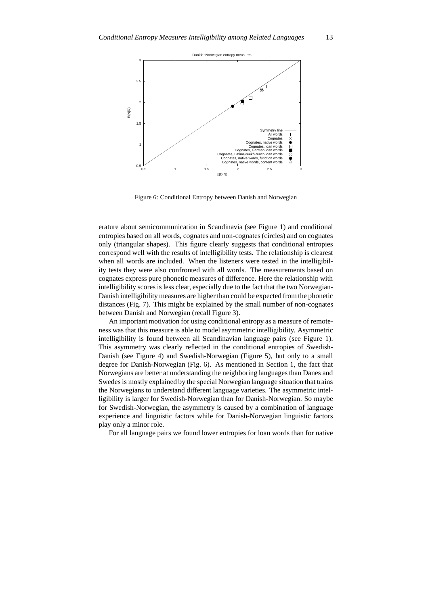

Figure 6: Conditional Entropy between Danish and Norwegian

erature about semicommunication in Scandinavia (see Figure 1) and conditional entropies based on all words, cognates and non-cognates (circles) and on cognates only (triangular shapes). This figure clearly suggests that conditional entropies correspond well with the results of intelligibility tests. The relationship is clearest when all words are included. When the listeners were tested in the intelligibility tests they were also confronted with all words. The measurements based on cognates express pure phonetic measures of difference. Here the relationship with intelligibility scores is less clear, especially due to the fact that the two Norwegian-Danish intelligibility measures are higher than could be expected from the phonetic distances (Fig. 7). This might be explained by the small number of non-cognates between Danish and Norwegian (recall Figure 3).

An important motivation for using conditional entropy as a measure of remoteness was that this measure is able to model asymmetric intelligibility. Asymmetric intelligibility is found between all Scandinavian language pairs (see Figure 1). This asymmetry was clearly reflected in the conditional entropies of Swedish-Danish (see Figure 4) and Swedish-Norwegian (Figure 5), but only to a small degree for Danish-Norwegian (Fig. 6). As mentioned in Section 1, the fact that Norwegians are better at understanding the neighboring languages than Danes and Swedes is mostly explained by the special Norwegian language situation that trains the Norwegians to understand different language varieties. The asymmetric intelligibility is larger for Swedish-Norwegian than for Danish-Norwegian. So maybe for Swedish-Norwegian, the asymmetry is caused by a combination of language experience and linguistic factors while for Danish-Norwegian linguistic factors play only a minor role.

For all language pairs we found lower entropies for loan words than for native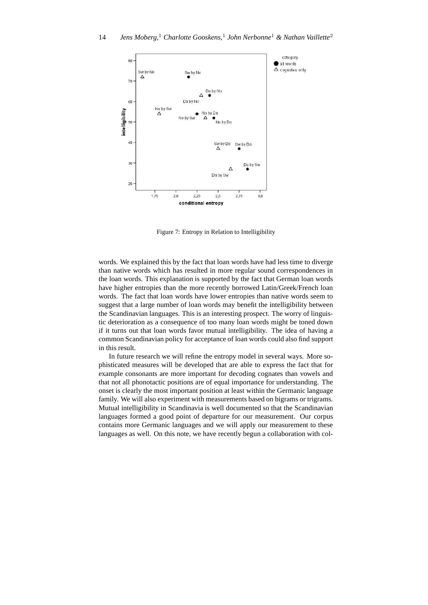

Figure 7: Entropy in Relation to Intelligibility

words. We explained this by the fact that loan words have had less time to diverge than native words which has resulted in more regular sound correspondences in the loan words. This explanation is supported by the fact that German loan words have higher entropies than the more recently borrowed Latin/Greek/French loan words. The fact that loan words have lower entropies than native words seem to suggest that a large number of loan words may benefit the intelligibility between the Scandinavian languages. This is an interesting prospect. The worry of linguistic deterioration as a consequence of too many loan words might be toned down if it turns out that loan words favor mutual intelligibility. The idea of having a common Scandinavian policy for acceptance of loan words could also find support in this result.

In future research we will refine the entropy model in several ways. More sophisticated measures will be developed that are able to express the fact that for example consonants are more important for decoding cognates than vowels and that not all phonotactic positions are of equal importance for understanding. The onset is clearly the most important position at least within the Germanic language family. We will also experiment with measurements based on bigrams or trigrams. Mutual intelligibility in Scandinavia is well documented so that the Scandinavian languages formed a good point of departure for our measurement. Our corpus contains more Germanic languages and we will apply our measurement to these languages as well. On this note, we have recently begun a collaboration with col